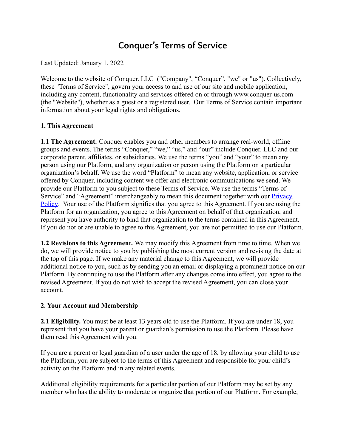# **Conquer's Terms of Service**

Last Updated: January 1, 2022

Welcome to the website of Conquer. LLC ("Company", "Conquer", "we" or "us"). Collectively, these "Terms of Service", govern your access to and use of our site and mobile application, including any content, functionality and services offered on or through www.conquer-us.com (the "Website"), whether as a guest or a registered user. Our Terms of Service contain important information about your legal rights and obligations.

## **1. This Agreement**

**1.1 The Agreement.** Conquer enables you and other members to arrange real-world, offline groups and events. The terms "Conquer," "we," "us," and "our" include Conquer. LLC and our corporate parent, affiliates, or subsidiaries. We use the terms "you" and "your" to mean any person using our Platform, and any organization or person using the Platform on a particular organization's behalf. We use the word "Platform" to mean any website, application, or service offered by Conquer, including content we offer and electronic communications we send. We provide our Platform to you subject to these Terms of Service. We use the terms "Terms of Service" and "Agreement" interchangeably to mean this document together with our **[Privacy](http://www.conquer-us.com/privacy)** [Policy.](http://www.conquer-us.com/privacy) Your use of the Platform signifies that you agree to this Agreement. If you are using the Platform for an organization, you agree to this Agreement on behalf of that organization, and represent you have authority to bind that organization to the terms contained in this Agreement. If you do not or are unable to agree to this Agreement, you are not permitted to use our Platform.

**1.2 Revisions to this Agreement.** We may modify this Agreement from time to time. When we do, we will provide notice to you by publishing the most current version and revising the date at the top of this page. If we make any material change to this Agreement, we will provide additional notice to you, such as by sending you an email or displaying a prominent notice on our Platform. By continuing to use the Platform after any changes come into effect, you agree to the revised Agreement. If you do not wish to accept the revised Agreement, you can close your account.

## **2. Your Account and Membership**

**2.1 Eligibility.** You must be at least 13 years old to use the Platform. If you are under 18, you represent that you have your parent or guardian's permission to use the Platform. Please have them read this Agreement with you.

If you are a parent or legal guardian of a user under the age of 18, by allowing your child to use the Platform, you are subject to the terms of this Agreement and responsible for your child's activity on the Platform and in any related events.

Additional eligibility requirements for a particular portion of our Platform may be set by any member who has the ability to moderate or organize that portion of our Platform. For example,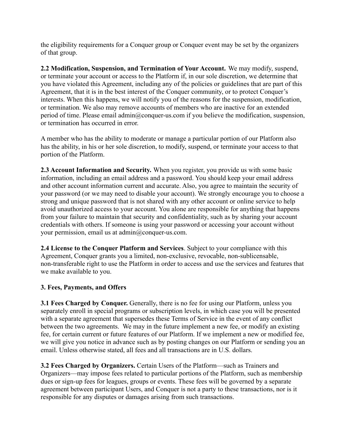the eligibility requirements for a Conquer group or Conquer event may be set by the organizers of that group.

**2.2 Modification, Suspension, and Termination of Your Account.** We may modify, suspend, or terminate your account or access to the Platform if, in our sole discretion, we determine that you have violated this Agreement, including any of the policies or guidelines that are part of this Agreement, that it is in the best interest of the Conquer community, or to protect Conquer's interests. When this happens, we will notify you of the reasons for the suspension, modification, or termination. We also may remove accounts of members who are inactive for an extended period of time. Please email admin@conquer-us.com if you believe the modification, suspension, or termination has occurred in error.

A member who has the ability to moderate or manage a particular portion of our Platform also has the ability, in his or her sole discretion, to modify, suspend, or terminate your access to that portion of the Platform.

**2.3 Account Information and Security.** When you register, you provide us with some basic information, including an email address and a password. You should keep your email address and other account information current and accurate. Also, you agree to maintain the security of your password (or we may need to disable your account). We strongly encourage you to choose a strong and unique password that is not shared with any other account or online service to help avoid unauthorized access to your account. You alone are responsible for anything that happens from your failure to maintain that security and confidentiality, such as by sharing your account credentials with others. If someone is using your password or accessing your account without your permission, email us at admin@conquer-us.com.

**2.4 License to the Conquer Platform and Services**. Subject to your compliance with this Agreement, Conquer grants you a limited, non-exclusive, revocable, non-sublicensable, non-transferable right to use the Platform in order to access and use the services and features that we make available to you.

## **3. Fees, Payments, and Offers**

**3.1 Fees Charged by Conquer.** Generally, there is no fee for using our Platform, unless you separately enroll in special programs or subscription levels, in which case you will be presented with a separate agreement that supersedes these Terms of Service in the event of any conflict between the two agreements. We may in the future implement a new fee, or modify an existing fee, for certain current or future features of our Platform. If we implement a new or modified fee, we will give you notice in advance such as by posting changes on our Platform or sending you an email. Unless otherwise stated, all fees and all transactions are in U.S. dollars.

**3.2 Fees Charged by Organizers.** Certain Users of the Platform—such as Trainers and Organizers—may impose fees related to particular portions of the Platform, such as membership dues or sign-up fees for leagues, groups or events. These fees will be governed by a separate agreement between participant Users, and Conquer is not a party to these transactions, nor is it responsible for any disputes or damages arising from such transactions.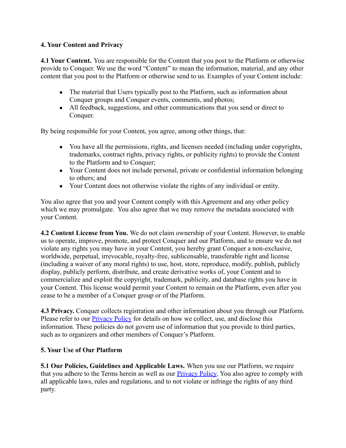## **4. Your Content and Privacy**

**4.1 Your Content.** You are responsible for the Content that you post to the Platform or otherwise provide to Conquer. We use the word "Content" to mean the information, material, and any other content that you post to the Platform or otherwise send to us. Examples of your Content include:

- The material that Users typically post to the Platform, such as information about Conquer groups and Conquer events, comments, and photos;
- All feedback, suggestions, and other communications that you send or direct to Conquer.

By being responsible for your Content, you agree, among other things, that:

- You have all the permissions, rights, and licenses needed (including under copyrights, trademarks, contract rights, privacy rights, or publicity rights) to provide the Content to the Platform and to Conquer;
- Your Content does not include personal, private or confidential information belonging to others; and
- Your Content does not otherwise violate the rights of any individual or entity.

You also agree that you and your Content comply with this Agreement and any other policy which we may promulgate. You also agree that we may remove the metadata associated with your Content.

**4.2 Content License from You.** We do not claim ownership of your Content. However, to enable us to operate, improve, promote, and protect Conquer and our Platform, and to ensure we do not violate any rights you may have in your Content, you hereby grant Conquer a non-exclusive, worldwide, perpetual, irrevocable, royalty-free, sublicensable, transferable right and license (including a waiver of any moral rights) to use, host, store, reproduce, modify, publish, publicly display, publicly perform, distribute, and create derivative works of, your Content and to commercialize and exploit the copyright, trademark, publicity, and database rights you have in your Content. This license would permit your Content to remain on the Platform, even after you cease to be a member of a Conquer group or of the Platform.

**4.3 Privacy.** Conquer collects registration and other information about you through our Platform. Please refer to our **[Privacy Policy](http://www.conquer-us.com/privacy)** for details on how we collect, use, and disclose this information. These policies do not govern use of information that you provide to third parties, such as to organizers and other members of Conquer's Platform.

## **5. Your Use of Our Platform**

**5.1 Our Policies, Guidelines and Applicable Laws.** When you use our Platform, we require that you adhere to the Terms herein as well as our [Privacy Policy.](http://www.conquer-us.com/privacy) You also agree to comply with all applicable laws, rules and regulations, and to not violate or infringe the rights of any third party.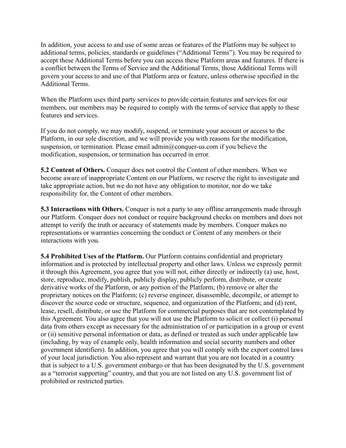In addition, your access to and use of some areas or features of the Platform may be subject to additional terms, policies, standards or guidelines ("Additional Terms"). You may be required to accept these Additional Terms before you can access these Platform areas and features. If there is a conflict between the Terms of Service and the Additional Terms, those Additional Terms will govern your access to and use of that Platform area or feature, unless otherwise specified in the Additional Terms.

When the Platform uses third party services to provide certain features and services for our members, our members may be required to comply with the terms of service that apply to these features and services.

If you do not comply, we may modify, suspend, or terminate your account or access to the Platform, in our sole discretion, and we will provide you with reasons for the modification, suspension, or termination. Please email admin@conquer-us.com if you believe the modification, suspension, or termination has occurred in error.

**5.2 Content of Others.** Conquer does not control the Content of other members. When we become aware of inappropriate Content on our Platform, we reserve the right to investigate and take appropriate action, but we do not have any obligation to monitor, nor do we take responsibility for, the Content of other members.

**5.3 Interactions with Others.** Conquer is not a party to any offline arrangements made through our Platform. Conquer does not conduct or require background checks on members and does not attempt to verify the truth or accuracy of statements made by members. Conquer makes no representations or warranties concerning the conduct or Content of any members or their interactions with you.

**5.4 Prohibited Uses of the Platform.** Our Platform contains confidential and proprietary information and is protected by intellectual property and other laws. Unless we expressly permit it through this Agreement, you agree that you will not, either directly or indirectly (a) use, host, store, reproduce, modify, publish, publicly display, publicly perform, distribute, or create derivative works of the Platform, or any portion of the Platform; (b) remove or alter the proprietary notices on the Platform; (c) reverse engineer, disassemble, decompile, or attempt to discover the source code or structure, sequence, and organization of the Platform; and (d) rent, lease, resell, distribute, or use the Platform for commercial purposes that are not contemplated by this Agreement. You also agree that you will not use the Platform to solicit or collect (i) personal data from others except as necessary for the administration of or participation in a group or event or (ii) sensitive personal information or data, as defined or treated as such under applicable law (including, by way of example only, health information and social security numbers and other government identifiers). In addition, you agree that you will comply with the export control laws of your local jurisdiction. You also represent and warrant that you are not located in a country that is subject to a U.S. government embargo or that has been designated by the U.S. government as a "terrorist supporting" country, and that you are not listed on any U.S. government list of prohibited or restricted parties.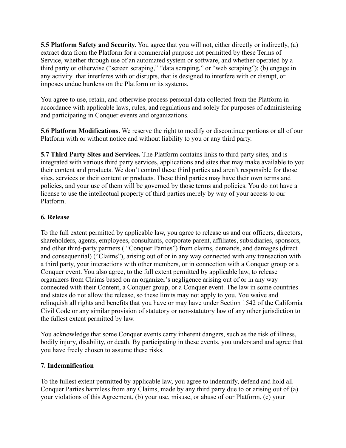**5.5 Platform Safety and Security.** You agree that you will not, either directly or indirectly, (a) extract data from the Platform for a commercial purpose not permitted by these Terms of Service, whether through use of an automated system or software, and whether operated by a third party or otherwise ("screen scraping," "data scraping," or "web scraping"); (b) engage in any activity that interferes with or disrupts, that is designed to interfere with or disrupt, or imposes undue burdens on the Platform or its systems.

You agree to use, retain, and otherwise process personal data collected from the Platform in accordance with applicable laws, rules, and regulations and solely for purposes of administering and participating in Conquer events and organizations.

**5.6 Platform Modifications.** We reserve the right to modify or discontinue portions or all of our Platform with or without notice and without liability to you or any third party.

**5.7 Third Party Sites and Services.** The Platform contains links to third party sites, and is integrated with various third party services, applications and sites that may make available to you their content and products. We don't control these third parties and aren't responsible for those sites, services or their content or products. These third parties may have their own terms and policies, and your use of them will be governed by those terms and policies. You do not have a license to use the intellectual property of third parties merely by way of your access to our Platform.

## **6. Release**

To the full extent permitted by applicable law, you agree to release us and our officers, directors, shareholders, agents, employees, consultants, corporate parent, affiliates, subsidiaries, sponsors, and other third-party partners ( "Conquer Parties") from claims, demands, and damages (direct and consequential) ("Claims"), arising out of or in any way connected with any transaction with a third party, your interactions with other members, or in connection with a Conquer group or a Conquer event. You also agree, to the full extent permitted by applicable law, to release organizers from Claims based on an organizer's negligence arising out of or in any way connected with their Content, a Conquer group, or a Conquer event. The law in some countries and states do not allow the release, so these limits may not apply to you. You waive and relinquish all rights and benefits that you have or may have under Section 1542 of the California Civil Code or any similar provision of statutory or non-statutory law of any other jurisdiction to the fullest extent permitted by law.

You acknowledge that some Conquer events carry inherent dangers, such as the risk of illness, bodily injury, disability, or death. By participating in these events, you understand and agree that you have freely chosen to assume these risks.

## **7. Indemnification**

To the fullest extent permitted by applicable law, you agree to indemnify, defend and hold all Conquer Parties harmless from any Claims, made by any third party due to or arising out of (a) your violations of this Agreement, (b) your use, misuse, or abuse of our Platform, (c) your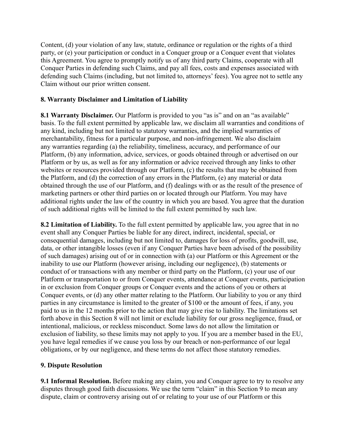Content, (d) your violation of any law, statute, ordinance or regulation or the rights of a third party, or (e) your participation or conduct in a Conquer group or a Conquer event that violates this Agreement. You agree to promptly notify us of any third party Claims, cooperate with all Conquer Parties in defending such Claims, and pay all fees, costs and expenses associated with defending such Claims (including, but not limited to, attorneys' fees). You agree not to settle any Claim without our prior written consent.

#### **8. Warranty Disclaimer and Limitation of Liability**

**8.1 Warranty Disclaimer.** Our Platform is provided to you "as is" and on an "as available" basis. To the full extent permitted by applicable law, we disclaim all warranties and conditions of any kind, including but not limited to statutory warranties, and the implied warranties of merchantability, fitness for a particular purpose, and non-infringement. We also disclaim any warranties regarding (a) the reliability, timeliness, accuracy, and performance of our Platform, (b) any information, advice, services, or goods obtained through or advertised on our Platform or by us, as well as for any information or advice received through any links to other websites or resources provided through our Platform, (c) the results that may be obtained from the Platform, and (d) the correction of any errors in the Platform, (e) any material or data obtained through the use of our Platform, and (f) dealings with or as the result of the presence of marketing partners or other third parties on or located through our Platform. You may have additional rights under the law of the country in which you are based. You agree that the duration of such additional rights will be limited to the full extent permitted by such law.

**8.2 Limitation of Liability.** To the full extent permitted by applicable law, you agree that in no event shall any Conquer Parties be liable for any direct, indirect, incidental, special, or consequential damages, including but not limited to, damages for loss of profits, goodwill, use, data, or other intangible losses (even if any Conquer Parties have been advised of the possibility of such damages) arising out of or in connection with (a) our Platform or this Agreement or the inability to use our Platform (however arising, including our negligence), (b) statements or conduct of or transactions with any member or third party on the Platform, (c) your use of our Platform or transportation to or from Conquer events, attendance at Conquer events, participation in or exclusion from Conquer groups or Conquer events and the actions of you or others at Conquer events, or (d) any other matter relating to the Platform. Our liability to you or any third parties in any circumstance is limited to the greater of \$100 or the amount of fees, if any, you paid to us in the 12 months prior to the action that may give rise to liability. The limitations set forth above in this Section 8 will not limit or exclude liability for our gross negligence, fraud, or intentional, malicious, or reckless misconduct. Some laws do not allow the limitation or exclusion of liability, so these limits may not apply to you. If you are a member based in the EU, you have legal remedies if we cause you loss by our breach or non-performance of our legal obligations, or by our negligence, and these terms do not affect those statutory remedies.

## **9. Dispute Resolution**

**9.1 Informal Resolution.** Before making any claim, you and Conquer agree to try to resolve any disputes through good faith discussions. We use the term "claim" in this Section 9 to mean any dispute, claim or controversy arising out of or relating to your use of our Platform or this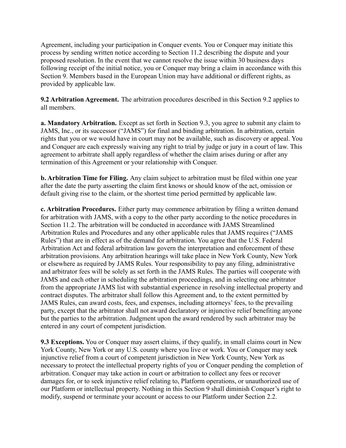Agreement, including your participation in Conquer events. You or Conquer may initiate this process by sending written notice according to Section 11.2 describing the dispute and your proposed resolution. In the event that we cannot resolve the issue within 30 business days following receipt of the initial notice, you or Conquer may bring a claim in accordance with this Section 9. Members based in the European Union may have additional or different rights, as provided by applicable law.

**9.2 Arbitration Agreement.** The arbitration procedures described in this Section 9.2 applies to all members.

**a. Mandatory Arbitration.** Except as set forth in Section 9.3, you agree to submit any claim to JAMS, Inc., or its successor ("JAMS") for final and binding arbitration. In arbitration, certain rights that you or we would have in court may not be available, such as discovery or appeal. You and Conquer are each expressly waiving any right to trial by judge or jury in a court of law. This agreement to arbitrate shall apply regardless of whether the claim arises during or after any termination of this Agreement or your relationship with Conquer.

**b. Arbitration Time for Filing.** Any claim subject to arbitration must be filed within one year after the date the party asserting the claim first knows or should know of the act, omission or default giving rise to the claim, or the shortest time period permitted by applicable law.

**c. Arbitration Procedures.** Either party may commence arbitration by filing a written demand for arbitration with JAMS, with a copy to the other party according to the notice procedures in Section 11.2. The arbitration will be conducted in accordance with [JAMS Streamlined](https://www.jamsadr.com/rules-streamlined-arbitration/) [Arbitration Rules and Procedures](https://www.jamsadr.com/rules-streamlined-arbitration/) and any other applicable rules that JAMS requires ("JAMS Rules") that are in effect as of the demand for arbitration. You agree that the U.S. Federal Arbitration Act and federal arbitration law govern the interpretation and enforcement of these arbitration provisions. Any arbitration hearings will take place in New York County, New York or elsewhere as required by JAMS Rules. Your responsibility to pay any filing, administrative and arbitrator fees will be solely as set forth in the JAMS Rules. The parties will cooperate with JAMS and each other in scheduling the arbitration proceedings, and in selecting one arbitrator from the appropriate JAMS list with substantial experience in resolving intellectual property and contract disputes. The arbitrator shall follow this Agreement and, to the extent permitted by JAMS Rules, can award costs, fees, and expenses, including attorneys' fees, to the prevailing party, except that the arbitrator shall not award declaratory or injunctive relief benefiting anyone but the parties to the arbitration. Judgment upon the award rendered by such arbitrator may be entered in any court of competent jurisdiction.

**9.3 Exceptions.** You or Conquer may assert claims, if they qualify, in small claims court in New York County, New York or any U.S. county where you live or work. You or Conquer may seek injunctive relief from a court of competent jurisdiction in New York County, New York as necessary to protect the intellectual property rights of you or Conquer pending the completion of arbitration. Conquer may take action in court or arbitration to collect any fees or recover damages for, or to seek injunctive relief relating to, Platform operations, or unauthorized use of our Platform or intellectual property. Nothing in this Section 9 shall diminish Conquer's right to modify, suspend or terminate your account or access to our Platform under Section 2.2.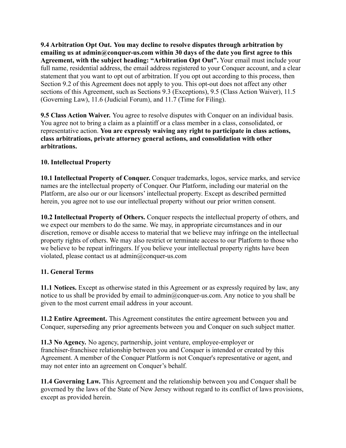**9.4 Arbitration Opt Out. You may decline to resolve disputes through arbitration by emailing us at admin@conquer-us.com within 30 days of the date you first agree to this Agreement, with the subject heading: "Arbitration Opt Out".** Your email must include your full name, residential address, the email address registered to your Conquer account, and a clear statement that you want to opt out of arbitration. If you opt out according to this process, then Section 9.2 of this Agreement does not apply to you. This opt-out does not affect any other sections of this Agreement, such as Sections 9.3 (Exceptions), 9.5 (Class Action Waiver), 11.5 (Governing Law), 11.6 (Judicial Forum), and 11.7 (Time for Filing).

**9.5 Class Action Waiver.** You agree to resolve disputes with Conquer on an individual basis. You agree not to bring a claim as a plaintiff or a class member in a class, consolidated, or representative action. **You are expressly waiving any right to participate in class actions, class arbitrations, private attorney general actions, and consolidation with other arbitrations.**

# **10. Intellectual Property**

**10.1 Intellectual Property of Conquer.** Conquer trademarks, logos, service marks, and service names are the intellectual property of Conquer. Our Platform, including our material on the Platform, are also our or our licensors' intellectual property. Except as described permitted herein, you agree not to use our intellectual property without our prior written consent.

**10.2 Intellectual Property of Others.** Conquer respects the intellectual property of others, and we expect our members to do the same. We may, in appropriate circumstances and in our discretion, remove or disable access to material that we believe may infringe on the intellectual property rights of others. We may also restrict or terminate access to our Platform to those who we believe to be repeat infringers. If you believe your intellectual property rights have been violated, please contact us at admin@conquer-us.com

# **11. General Terms**

**11.1 Notices.** Except as otherwise stated in this Agreement or as expressly required by law, any notice to us shall be provided by email to admin@conquer-us.com. Any notice to you shall be given to the most current email address in your account.

**11.2 Entire Agreement.** This Agreement constitutes the entire agreement between you and Conquer, superseding any prior agreements between you and Conquer on such subject matter.

**11.3 No Agency.** No agency, partnership, joint venture, employee-employer or franchiser-franchisee relationship between you and Conquer is intended or created by this Agreement. A member of the Conquer Platform is not Conquer's representative or agent, and may not enter into an agreement on Conquer's behalf.

**11.4 Governing Law.** This Agreement and the relationship between you and Conquer shall be governed by the laws of the State of New Jersey without regard to its conflict of laws provisions, except as provided herein.